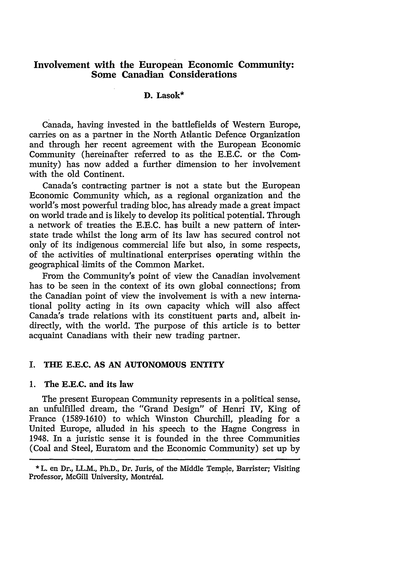# **Involvement with the European Economic Community: Some Canadian Considerations**

# **D. Lasok\***

Canada, having invested in the battlefields of Western Europe, carries on as a partner in the North Atlantic Defence Organization and through her recent agreement with the European Economic Community (hereinafter referred to as the E.E.C. or the Community) has now added a further dimension to her involvement with the old Continent.

Canada's contracting partner is not a state but the European Economic Community which, as a regional organization and the world's most powerful trading bloc, has already made a great impact on world trade and is likely to develop its political potential. Through a network of treaties the E.E.C. has built a new pattern of interstate trade whilst the long arm of its law has secured control not only of its indigenous commercial life but also, in some respects, of the activities of multinational enterprises operating within the geographical limits of the Common Market.

From the Community's point of view the Canadian involvement has to be seen in the context of its own global connections; from the Canadian point of view the involvement is with a new international polity acting in its own capacity which will also affect Canada's trade relations with its constituent parts and, albeit indirectly, with the world. The purpose of this article is to better acquaint Canadians with their new trading partner.

## **I. THE E.E.C. AS AN AUTONOMOUS ENTITY**

#### **1. The E.E.C. and its law**

The present European Community represents in a political sense, an unfulfilled dream, the "Grand Design" of Henri IV, King of France (1589-1610) to which Winston Churchill, pleading for a United Europe, alluded in his speech to the Hagne Congress in 1948. In a juristic sense it is founded in the three Communities (Coal and Steel, Euratom and the Economic Community) set up by

<sup>\*</sup> L. en Dr., LL.M., Ph.D., Dr. Juris, of the Middle Temple, Barrister; Visiting Professor, McGill University, Montréal.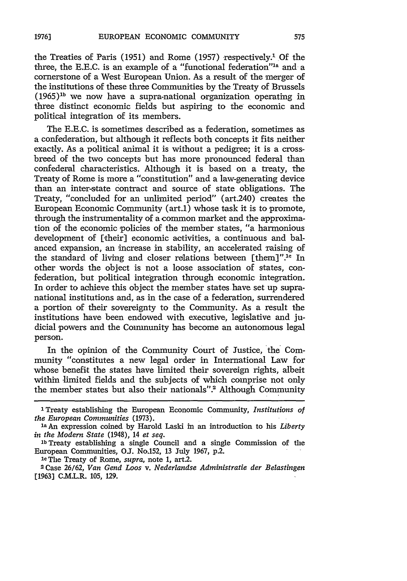the Treaties of Paris (1951) and Rome (1957) respectively.<sup>1</sup> Of the three, the E.E.C. is an example of a "funotional federation"la and a cornerstone of a West European Union. As a result of the merger of the institutions of these three Communities by the Treaty of Brussels  $(1965)^{1b}$  we now have a supra-national organization operating in three distinct economic fields but aspiring to the economic and political integration of its members.

The E.E.C. is sometimes described as a federation, sometimes as a confederation, but although it reflects both concepts it fits neither exactly. As a political animal it is without a pedigree; it is a crossbreed of the two concepts but has more pronounced federal than confederal characteristics. Although it is based on a treaty, the Treaty of Rome is more a "constitution" and a law-generating device than an inter-state contract and source of state obligations. The Treaty, "concluded for an unlimited period" (art.240) creates the European Economic Community (art.1) whose task it is to promote, through the instrumentality of a common market and the approximation **of** the economic policies of the member states, "a harmonious development of [their] economic activities, a continuous and balanced expansion, an increase in stability, an accelerated raising of the standard of living and closer relations between [them]".<sup>1c</sup> In other words the object is not a loose association of states, confederation, but political integration through economic integration. In order to achieve this object the member states have set up supranational institutions and, as in the case of a federation, surrendered a portion of their sovereignty to the Community. As a result the institutions have been endowed with executive, legislative and judicial powers and the Community has become an autonomous legal person.

In the opinion of the Community Court of Justice, the Community "constitutes a new legal order in International Law for whose benefit the states have limited their sovereign rights, albeit within limited fields and the subjects of which comprise not only the member states but also their nationals".<sup>2</sup> Although Community

**lb** Treaty establishing a single Council and a single Commission of the European Communities, **OJ.** No.152, 13 July 1967, p.2 .

**le** The Treaty of Rome, *supra,* note 1, art2.

2 Case 26/62, *Van Gend Loos v. Nederlandse Administratie der Belastingen* E1963] C.M.L.R. 105, 129.

<sup>&#</sup>x27;Treaty establishing the European Economic Community, *Institutions of the European Communities (1973).* ia An expression coined by Harold Laski in an introduction to his *Liberty* 

*in the Modern State* (1948), 14 *et seq.*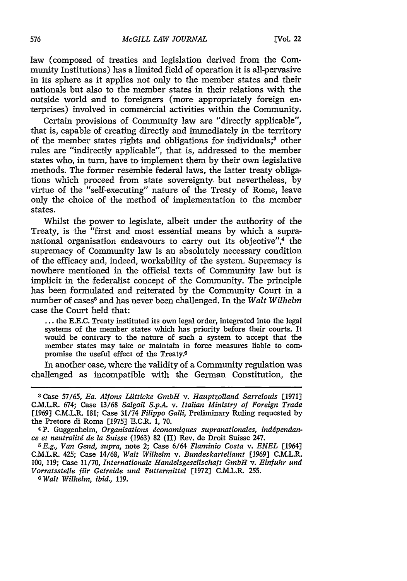law (composed of treaties and legislation derived from the Community Institutions) has a limited field of operation it is all-pervasive in its sphere as it applies not only to the member states and their nationals but also to the member states in their relations with the outside world and to foreigners (more appropriately foreign enterprises) involved in commercial activities within the Community.

Certain provisions of Community law are "directly applicable", that is, capable of creating directly and immediately in the territory of the member states rights and obligations for individuals;<sup>3</sup> other rules are "indirectly applicable", that is, addressed to the member states who, in turn, have to implement them by their own legislative methods. The former resemble federal laws, the latter treaty obligations which proceed from state sovereignty but nevertheless, by virtue of the "self-executing" nature of the Treaty of Rome, leave only the choice of the method of implementation to the member states.

Whilst the power to legislate, albeit under the authority of the Treaty, is the "first and most essential means by which a supranational organisation endeavours to carry out its objective",<sup>4</sup> the supremacy of Community law is an absolutely necessary condition of the efficacy and, indeed, workability of the system. Supremacy is nowhere mentioned in the official texts of Community law but is implicit in the federalist concept of the Community. The principle has been formulated and reiterated by the Community Court in a number of cases<sup>5</sup> and has never been challenged. In the *Walt Wilhelm* case the Court held that:

**...** the E.E.C. Treaty instituted its own legal order, integrated into the legal systems of the member states which has priority before their courts. It would be contrary to the nature of such a system to accept that the member states may take or maintain in force measures liable to compromise the useful effect of the Treaty.

In another case, where the validity of a Community regulation was challenged as incompatible with the German Constitution, the

**<sup>3</sup>** Case 57/65, *Ea. Altons Liitticke GmbH v. Hauptzolland Sarrelouis* **[1971]** C.M.L.R. 674; Case 13/68 *Salgoil S.p.A. v. Italian Ministry of Foreign Trade* [19693 C.M.L.R. 181; Case 31/74 *Filippo Galli,* Preliminary Ruling requested by the Pretore di Roma [1975] E.C.R. 1, 70.

<sup>4</sup> P. Guggenheim, *Organisations dconomiques supranationales, inddpendance et neutralitd de la Suisse* (1963) 82 (II) Rev. de Droit Suisse 247.

*<sup>5</sup> E.g., Van Gend, supra,* note 2; Case 6/64 *Flaminio Costa v. ENEL* [1964] C.M.L.R. 425; Case 14/68, *Walt Wilhelm v. Bundeskartellamt* [1969] C.M.L.R. 100, 119; Case 11/70, *Internationale Handelsgesellschaft GmbH v. Einfuhr und Vorratsstelle ffir Getreide und Futtermittel* [1972] C.M.L.R. 255.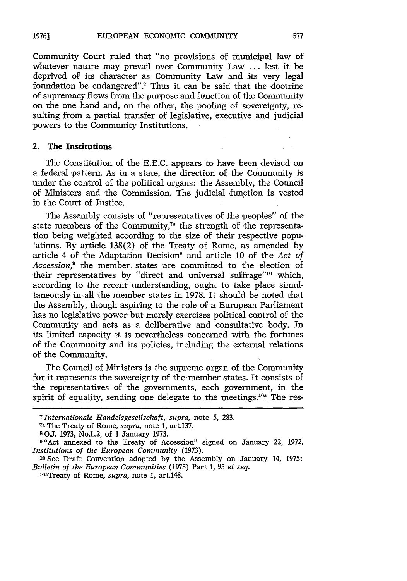Community Court ruled that "no provisions of municipal law of whatever nature may prevail over Community Law **...** lest it be deprived of its character as Community Law and its very legal foundation be endangered".<sup>7</sup> Thus it can be said that the doctrine of supremacy flows from the purpose and function of the Community on the one hand and, on the other, the pooling of sovereignty, resulting from a partial transfer of legislative, executive and judicial powers to the Community Institutions.

#### 2. **The Institutions**

The Constitution of the **E.E.C.** appears to have been devised on a federal pattern. As in a state, the direction of the Community is under the control of the political organs: the Assembly, the Council of Ministers and the Commission. The judicial function is vested in the Court of Justice.

The Assembly consists of "representatives of the peoples" of the state members of the Community,<sup>7ª</sup> the strength of the representation being weighted according to the size of their respective populations. By article 138(2) of the Treaty of Rome, as amended by article 4 of the Adaptation Decision8 and article 10 of the *Act* of *Accession,9* the member states are committed to the election of their representatives by "direct and universal suffrage"<sup>10</sup> which, according to the recent understanding, ought to take place simultaneously in all the member states in 1978. It should be noted that the Assembly, though aspiring to the role of a European Parliament has no legislative power but merely exercises political control of the Community and acts as a deliberative and consultative body. In its limited capacity it is nevertheless concerned with the fortunes of the Community and its policies, including the external relations of the Community.

The Council of Ministers is the supreme organ of the Community for it represents the sovereignty of the member states. It consists of the representatives of the governments, each government, in the spirit of equality, sending one delegate to the meetings.<sup>10a</sup> The res-

*<sup>7</sup> 1nternationale Handelsgesellschaft, supra,* note 5, 283.

**<sup>7</sup>a** The Treaty of Rome, *supra,* note 1, art.137.

**<sup>8</sup> O.J.** 1973, No.L.2, of 1 January 1973.

**<sup>9</sup>** "Act annexed to the Treaty of Accession" signed on January 22, 1972, *Institutions of the European Community* (1973).

**<sup>10</sup>**See Draft Convention adopted by the Assembly on January 14, 1975: *Bulletin of the European Communities (1975) Part 1, 95 <i>et seq.* loat Treaty of Rome, *supra*, note 1, art.148.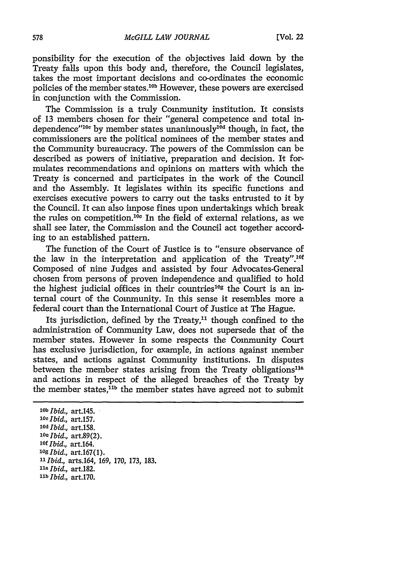ponsibility for the execution of the objectives laid down by the Treaty falls upon this body and, therefore, the Council legislates, takes the most important decisions and co-ordinates the economic policies of the member states.<sup>10b</sup> However, these powers are exercised in conjunction with the Commission.

The Commission is a truly Community institution. It consists of 13 members chosen for their "general competence and total independence"<sup>10c</sup> by member states unanimously<sup>10d</sup> though, in fact, the commissioners are the political nominees of the member states and the Community bureaucracy. The powers of the Commission can be described as powers of initiative, preparation and decision. It formulates recommendations and opinions on matters with which the Treaty is concerned and participates in the work of the Council and the Assembly. It legislates within its specific functions and exercises executive powers to carry out the tasks entrusted to it by the Council. It can also impose fines upon undertakings which break the rules on competition.<sup>10e</sup> In the field of external relations, as we shall see later, the Commission and the Council act together according to an established pattern.

The function of the Court of Justice is to "ensure observance of the law in the interpretation and application of the Treaty".<sup>10f</sup> Composed of nine Judges and assisted by four Advocates-General chosen from persons of proven independence and qualified to hold the highest judicial offices in their countries<sup>10g</sup> the Court is an internal court of the Community. In this sense it resembles more a federal court than the International Court of Justice at The Hague.

Its jurisdiction, defined by the Treaty,<sup>11</sup> though confined to the administration of Community Law, does not supersede that of the member states. However in some respects the Community Court has exclusive jurisdiction, for example, in actions against member states, and actions against Community institutions. In disputes between the member states arising from the Treaty obligations<sup>11a</sup> and actions in respect of the alleged breaches of the Treaty by the member states.<sup>11b</sup> the member states have agreed not to submit

*lob Ibid.,* art.145. *loc Ibid.,* art.157. *lod Ibid.,* art.158. *lOe Ibid.,* art.89(2). *'Of Ibid.,* art.164. *lOg Ibid.,* art.167(1). **:t** *Ibid.,* arts.164, 169, 170, 173, 183. *"I Ibid.,* art.182. 11b *Ibid.,* art.170.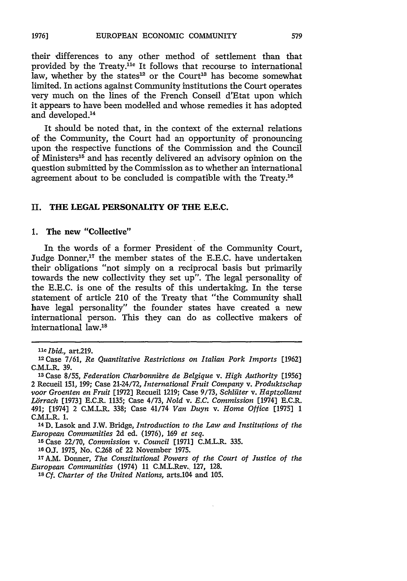their differences to any other method of settlement than that provided by the Treaty.<sup>11e</sup> It follows that recourse to international law, whether by the states<sup>12</sup> or the Court<sup>13</sup> has become somewhat limited. In actions against Community institutions the Court operates very much on the lines of the French Conseil d'Etat upon which it appears to have been modelled and whose remedies it has adopted and developed.14

It should be noted that, in the context of the external relations of the Community, the Court had an opportunity of pronouncing upon the respective functions of the Commission and the Council of Ministers<sup>15</sup> and has recently delivered an advisory opinion on the question submitted by the Commission as to whether an international agreement about to be concluded is compatible with the Treaty.<sup>16</sup>

## II. THE **LEGAL** PERSONALITY OF THE **E.E.C.**

## **1.** The new "Collective"

**In** the words of a former President of the Community Court, Judge Donner,<sup>17</sup> the member states of the E.E.C. have undertaken their obligations "not simply on a reciprocal basis but primarily towards the new collectivity they set up". The legal personality of the E.E.C. is one of the results of this undertaking. In the terse statement of article 210 of the Treaty that "the Community shall have legal personality" the founder states have created a new international person. This they can do as collective makers of international law.'8

14D. Lasok and J.W. Bridge, *Introduction to the Law and Institutions of the European Communities* 2d ed. (1976), **169** *et seq.*

**'5** Case 22/70, *Commission v. Council* **[1971]** C.M.L.R. 335.

*lie Ibid.,* art.219. '

<sup>2</sup> Case 7/61, *Re Quantitative Restrictions on Italian Pork Imports* [1962] C.M.L.R. 39.

minici, 55.<br><sup>13</sup> Case 8/55, Federation Charbonnière de Belgique v. High Authority [1956] 2 Recueil 151, 199; Case 21-24/72, *International Fruit Company v. Produktschap voor Groenten en Fruit* [19721 Recueil 1219; Case 9/73, *Schlilter v. Haptzollamt Lirrach* [19731 E.C.R. 1135; Case 4/73, *Nold v. E.C. Commission* [1974] E.C.R. 491; [19741 2 C.M.L.R. 338; Case 41/74 *Van Duyn v. Home Office* [19751 1 C.M.L.R. 1.

**<sup>10</sup> OJ.** 1975, No. C.268 of 22 November 1975.

<sup>17</sup>A.M. Donner, *The Constitutional Powers of the Court of Justice of the European Communities* (1974) **11** C.M.L.Rev., 127, 128.

**<sup>18</sup>***Cf. Charter of the United Nations,* arts.104 and 105.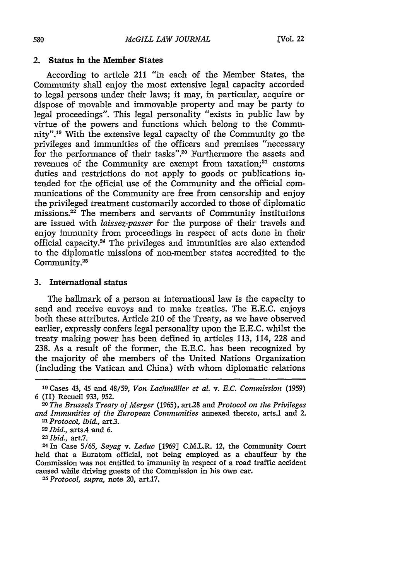#### 2. Status in the Member States

According to article 211 "in each of the Member States, the Community shall enjoy the most extensive legal capacity accorded to legal persons under their laws; it may, in particular, acquire or dispose of movable and immovable property and may be party to legal proceedings". This legal personality "exists in public law **by** virtue of the powers and functions which belong to the Community".<sup>19</sup> With the extensive legal capacity of the Community go the privileges and immunities of the officers and premises "necessary for the performance of their tasks".<sup>20</sup> Furthermore the assets and revenues of the Community are exempt from taxation; $21$  customs duties and restrictions do not apply to goods or publications intended for the official use of the Community and the official communications of the Community are free from censorship and enjoy the privileged treatment customarily accorded to those of diplomatic missions.<sup>22</sup> The members and servants of Community institutions are issued with *laissez-passer* for the purpose of their travels and enjoy immunity from proceedings in respect of acts done in their official capacity.<sup>24</sup> The privileges and immunities are also extended to the diplomatic missions of non-member states accredited to the Community.<sup>25</sup>

# **3.** International status

The hallmark of a person at international law is the capacity to send and receive envoys and to make treaties. The **E.E.C.** enjoys both these attributes. Article 210 of the Treaty, as we have observed earlier, expressly confers legal personality upon the **E.E.C.** whilst the treaty making power has been defined in articles **113,** 114, **228** and **238.** As a result of the former, the **E.E.C.** has been recognized **by** the majority of the members of the United Nations Organization (including the Vatican and China) with whom diplomatic relations

**<sup>19</sup>**Cases 43, 45 and **48/59,** *Von Lachmiiller et al. v. E.C. Commission* **(1959) 6 (II)** Recueil **933, 952.**

*<sup>20</sup>The Brussels Treaty of Merger* **(1965),** art28 and *Protocol on the Privileges and Immunities of the European Communities* annexed thereto, arts.1 and 2. *21Protocol, ibid.,* art.3.

**<sup>22</sup>***Ibid.,* arts.4 and **6.**

*<sup>23</sup>Ibid.,* art.7. <sup>2</sup> <sup>4</sup> In Case **5/65,** *Sayag v. Leduc* **[1969]** C.M.L.R. 12, the Community Court held that a Euratom official, not being employed as a chauffeur **by** the Commission was not entitled to immunity in respect of a road traffic accident caused while driving guests of the Commission in his own car. *25Protocol, supra,* note 20, art.17.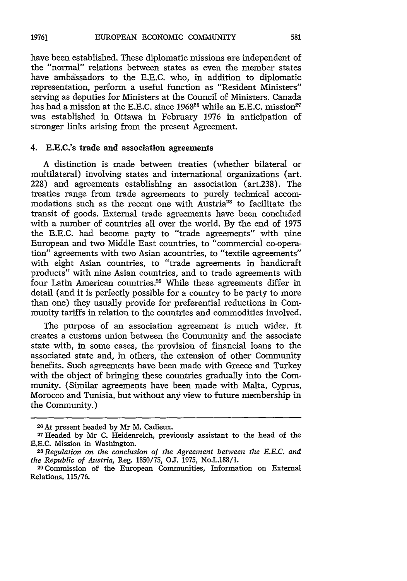581

have been established. These diplomatic missions are independent of the "normal" relations between states as even the member states have ambassadors to the E.E.C. who, in addition to diplomatic representation, perform a useful function as "Resident Ministers" serving as deputies for Ministers at the Council of Ministers. Canada has had a mission at the E.E.C. since  $1968^{26}$  while an E.E.C. mission<sup>27</sup> was established in Ottawa in February 1976 in anticipation of stronger links arising from the present Agreement.

# 4. E.E.C.'s trade **and association agreements**

A distinction is made between treaties (whether bilateral or multilateral) involving states and international organizations (art. 228) and agreements establishing an association (art.238). The treaties range from trade agreements to purely technical accommodations such as the recent one with Austria<sup>28</sup> to facilitate the transit of goods. External trade agreements have been concluded with a number of countries all over the world. By the end of 1975 the E.E.C. had become party to "trade agreements" with nine European and two Middle East countries, to "commercial co-operation" agreements with two Asian acountries, to "textile agreements" with eight Asian countries, to "trade agreements in handicraft products" with nine Asian countries, and to trade agreements with four Latin American countries.<sup>29</sup> While these agreements differ in detail (and it is perfectly possible for a country to be party to more than one) they usually provide for preferential reductions in Community tariffs in relation to the countries and commodities involved.

The purpose of an association agreement is much wider. It creates a customs union between the Community and the associate state with, in some cases, the provision of financial loans to the associated state and, in others, the extension of other Community benefits. Such agreements have been made with Greece and Turkey with the object of bringing these countries gradually into the Community. (Similar agreements have been made with Malta, Cyprus, Morocco and Tunisia, but without any view to future membership in the Community.)

**<sup>26</sup>At** present headed by Mr M. Cadieux.

<sup>27</sup>Headed by Mr C. Heidenreich, previously assistant to the head of the E.E.C. Mission in Washington.<br><sup>28</sup> Regulation on the conclusion of the Agreement between the E.E.C. and

*the Republic of Austria,* Reg. 1850/75, **0..** 1975, No.L.188/1.

<sup>29</sup>Commission of the European Communities, Information on External Relations, 115/76.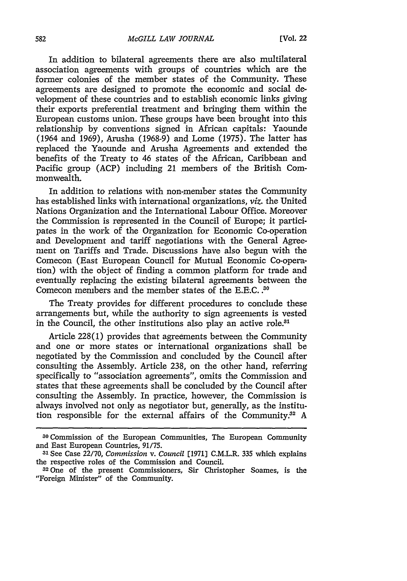In addition to bilateral agreements there are also multilateral association agreements with groups of countries which are the former colonies of the member states of the Community. These agreements are designed to promote the economic and social development of these countries and to establish economic links giving their exports preferential treatment and bringing them within the European customs union. These groups have been brought into this relationship by conventions signed in African capitals: Yaounde (1964 and 1969), Arusha (1968-9) and Lome (1975). The latter has replaced the Yaounde and Arusha Agreements and extended the benefits of the Treaty to 46 states of the African, Caribbean and Pacific group (ACP) including 21 members of the British Commonwealth.

In addition to relations with non-member states the Community has established links with international organizations, *viz.* the United Nations Organization and the International Labour Office. Moreover the Commission is represented in the Council of Europe; it participates in the work of the Organization for Economic Co-operation and Development and 'tariff negotiations with the General Agreement on Tariffs and Trade. Discussions have also begun with the Comecon (East European Council for Mutual Economic Co-operation) with the object of finding a common platform for trade and eventually replacing the existing bilateral agreements between the Comecon members and the member states of the E.E.C. **<sup>30</sup>**

The Treaty provides for different procedures to conclude these arrangements but, while the authority to sign agreements is vested in the Council, the other institutions also play an active role.<sup>31</sup>

Article 228(1) provides that agreements between the Community and one or more states or international organizations shall be negotiated by the Commission and concluded by the Council after consulting the Assembly. Article 238, on the other hand, referring specifically to "association agreements", omits the Commission and states that these agreements shall be concluded by the Council after consulting the Assembly. In practice, however, the Commission is always involved not only as negotiator but, generally, as the institution responsible for the external affairs of the Community.<sup>32</sup> A

**<sup>30</sup>**Commission of the European Communities, The European Community and East European Countries, 91/75.

**<sup>31</sup>**See Case 22/70, *Commission v. Council* [1971] C.M.L.R. 335 which explains the respective roles of the Commission and Council.

<sup>32</sup> One of the present Commissioners, Sir Christopher Soames, is the "Foreign Minister" of the Community.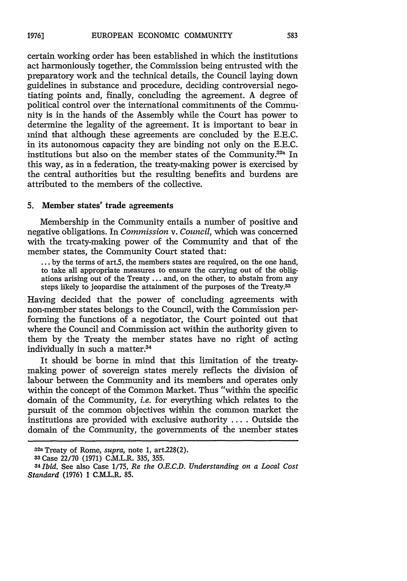certain working order has been established in which the institutions act harmoniously together, the Commission being entrusted with the preparatory work and the technical details, the Council laying down guidelines in substance and procedure, deciding controversial negotiating points and, finally, concluding the agreement. A degree of political control over the international commitments of the Community is in the hands of the Assembly while the Court has power to determine the legality of the agreement. It is important to bear in mind that although these agreements are concluded by the E.E.C. in its autonomous capacity they are binding not only on the E.E.C. institutions but also on the member states of the Community.<sup>32a</sup> In this way, as in a federation, the treaty-making power is exercised by the central authorities but the resulting benefits and burdens are attributed to the members of the collective.

# **5.** Member states' trade agreements

Membership in the Community entails a number of positive and negative obligations. In *Commission v. Council,* which was concerned with the treaty-making power of the Community and that of the member states, the Community Court stated that:

**...** by the terms of art.5, the members states are required, on the one hand, to take all appropriate measures to ensure the carrying out of the obligations arising out of the Treaty ... and, on the other, to abstain from any steps likely to jeopardise the attainment of the purposes of the Treaty.33

Having decided that the power of concluding agreements with non-member states belongs to the Council, with the Commission performing the functions of a negotiator, the Court pointed out that where the Council and Commission act within the authority given to them by the Treaty the member states have no right of acting individually in such a matter.<sup>34</sup>

It should be borne in mind that this limitation of the treatymaking power of sovereign states merely reflects the division of labour between the Community and its members and operates only within the concept of the Common Market. Thus "within the specific domain of the Community, *i.e.* for everything which relates to the pursuit of the common objectives within the common market the institutions are provided with exclusive authority .... Outside the domain of the Community, the governments of the member states

<sup>32</sup>a Treaty of Rome, *supra,* note 1, art228(2).

**<sup>33</sup>** Case 22/70 (1971) C.M.L.R. 335, 355.

*<sup>341</sup>bid.* See also Case 1/75, *Re the O.E.C.D. Understanding on a Local Cost Standard* (1976) 1 C.MLJ.R. 85.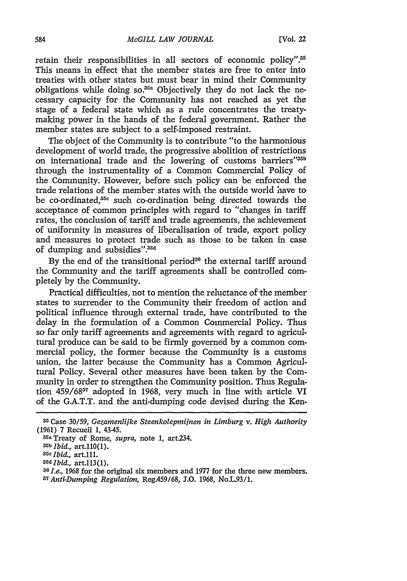retain their responsibilities in all sectors of economic policy".<sup>35</sup> This means in effect that the member states are free to enter into treaties with other states but must bear in mind their Community obligations while doing so. $35a$  Objectively they do not lack the necessary capacity for the Community has not reached as yet the stage of a federal state which as a rule concentrates the treatymaking power in the hands of the federal government. Rather the member states are subject to a self-imposed restraint.

The object of the Community is to contribute "to the harmonious development of world trade, the progressive abolition of restrictions on international trade and the lowering of customs barriers"35b through the instrumentality of a Common Commercial Policy of the Community. However, before such policy can be enforced the trade relations of the member states with the outside world have to be co-ordinated,<sup>35e</sup> such co-ordination being directed towards the acceptance of common principles with regard to "changes in tariff rates, the conclusion of tariff and trade agreements, the achievement of uniformity in measures of liberalisation of trade, export policy and measures to protect trade such as those to be taken in case of dumping and subsidies".<sup>35d</sup>

By the end of the transitional period<sup>36</sup> the external tariff around the Community and the tariff agreements shall be controlled completely by the Community.

Practical difficulties, not to mention the reluctance of the member states to surrender to the Community their freedom of action and political influence through external trade, have contributed to the delay in the formulation of a Common Commercial Policy. Thus so far only tariff agreements and agreements with regard to agricultural produce can be said to be firmly governed by a common commercial policy, the former because the Community is a customs union, the latter because the Community has a Common Agricultural Policy. Several other measures have been taken by the Community in order to strengthen the Community position. Thus Regulation 459/6837 adopted in 1968, very much in line with article VI of the G.A.T.T. and the anti-dumping code devised during the Ken-

**<sup>35</sup>**Case 30/59, *Gezamenlijke Steenkolepmijnen in Limburg v. High Authority* (1961) 7 Recueil 1, 43-45.

<sup>35</sup>a Treaty of Rome, *supra,* note 1, art.234.

*Srb Ibid.,* art.110(1).

*<sup>.</sup>Sc Ibid.,* art.111.

*S5dlbid.,* art.113(1).

<sup>&</sup>lt;sup>36</sup> *I.e.*, 1968 for the original six members and 1977 for the three new members. *37Anti-Dumping Regulation,* Reg.459/68, 1.0. 1968, No.L.93/1.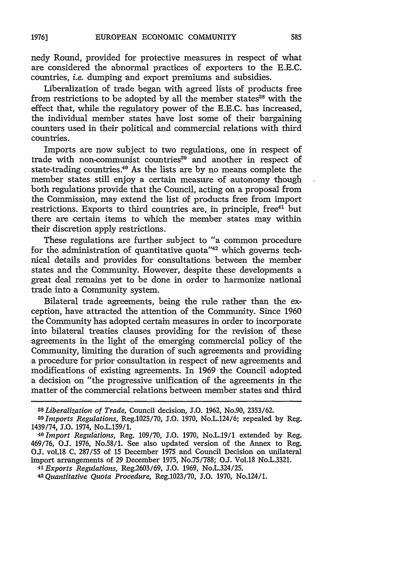nedy Round, provided for protective measures in respect of what are considered the abnormal practices of exporters to the E.E.C. countries, *i.e.* dumping and export premiums and subsidies.

Liberalization of trade began with agreed lists of products free from restrictions to be adopted by all the member states<sup>38</sup> with the effect that, while the regulatory power of the E.E.C. has increased, the individual member states have lost some of their bargaining counters used in their political and commercial relations with third countries.

Imports are now subject to two regulations, one in respect of trade with non-communist countries<sup>39</sup> and another in respect of state-trading countries.<sup>40</sup> As the lists are by no means complete the member states still enjoy a certain measure of autonomy though both regulations provide that the Council, acting on a proposal from the Commission, may extend the list of products free from import restrictions. Exports to third countries are, in principle, free<sup>41</sup> but there are certain items to which the member states may within their discretion apply restrictions.

These regulations are further subject to "a common procedure for the administration of quantitative quota" $42$  which governs technical details and provides for consultations between the member states and the Community. However, despite these developments a great deal remains yet to be done in order to harmonize national trade into a Community system.

Bilateral trade agreements, being the rule rather than the exception, have attracted the attention of the Community. Since 1960 the Community has adopted certain measures in order to incorporate into bilateral treaties clauses providing for the revision of these agreements in the light of the emerging commercial policy of the Community, limiting the duration of such agreements and providing a procedure for prior consultation in respect of new agreements and modifications of existing agreements. In 1969 the Council adopted a decision on "the progressive unification of the agreements in the matter of the commercial relations between member states and third

*<sup>42</sup> Quantitative Quota Procedure,* Reg.1023/70, **J.O.** 1970, No.124/1.

*<sup>38</sup> Liberalization of Trade,* Council decision, 1.0. 1962, No.90, 2353/62.

*<sup>39</sup> Imports Regulations,* Reg.1025/70, **1.0.** 1970, No.L.124/6; repealed by Reg.

<sup>1439/74,</sup> **1.O.** 1974, No.L.159/1. *<sup>40</sup> Import Regulations,* Reg. 109/70, **J.O.** 1970, No.L.19/1 extended by Reg. 469/76, **OJ.** 1976, No.58/1. See also updated version of the Annex to Reg. **OJ.** vol.18 C. 287/55 of 15 December 1975 and Council Decision on unilateral import arrangements of 29 December 1975, No.75/788; **O.J.** Vol.18 No.L.3321. *<sup>4</sup> Exports Regulations,* Reg.2603/69, **1.O. 1969,** No.L.324/25.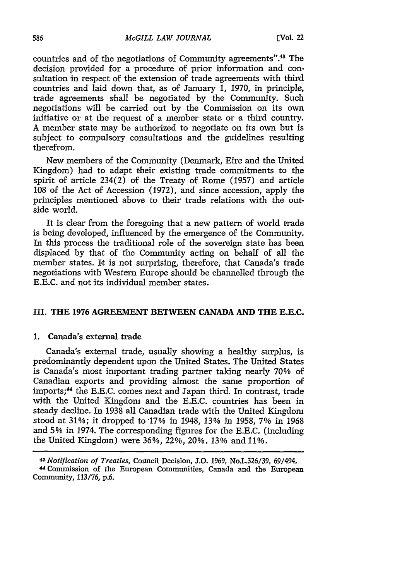countries and of the negotiations of Community agreements".43 The decision provided for a procedure of prior information and consultation in respect of the extension of trade agreements with third countries and laid down that, as of January 1, 1970, in principle, trade agreements shall be negotiated by the Community. Such negotiations will be carried out by the Commission on its own initiative or at the request of a member state or a third country. A member state may be authorized to negotiate on its own but is subject to compulsory consultations and the guidelines resulting therefrom.

New members of the Community (Denmark, Eire and the United Kingdom) had to adapt their existing trade commitments to the spirit of article  $234(2)$  of the Treaty of Rome (1957) and article 108 of the Act of Accession (1972), and since accession, apply the principles mentioned above to their trade relations with the outside world.

It is clear from the foregoing that a new pattern of world trade is being developed, influenced by the emergence of the Community. In this process the traditional role of the sovereign state has been displaced by that of the Community acting on behalf of all the member states. It is not surprising, therefore, that Canada's trade negotiations with Western Europe should be channelled through the E.E.C. and not its individual member states.

### **III. THE 1976 AGREEMENT BETWEEN CANADA AND THE E.E.C.**

#### **1. Canada's external trade**

Canada's external trade, usually showing a healthy surplus, is predominantly dependent upon the United States. The United States is Canada's most important trading partner taking nearly 70% of Canadian exports and providing almost the same proportion of imports;<sup>44</sup> the E.E.C. comes next and Japan third. In contrast, trade with the United Kingdom and the E.E.C. countries has been in steady decline. In 1938 all Canadian trade with the United Kingdom stood at 31%; it dropped to 17% in 1948, 13% in 1958, 7% in 1968 and 5% in 1974. The corresponding figures for the E.E.C. (including the United Kingdom) were 36%, 22%, 20%, 13% and 11%.

*<sup>43</sup>Notification of Treaties,* Council Decision, **J.O.** 1969, No.L.326/39, 69/494. 44Commission of the European Communities, Canada and the European Community, 113/76, p.6.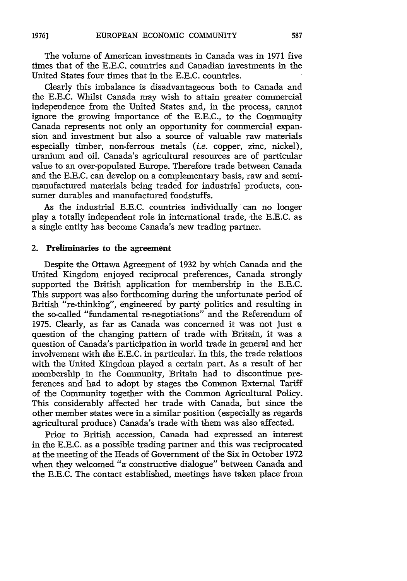The volume of American investments in Canada was in 1971 five times that of the E.E.C. countries and Canadian investments in the United States four times that in the E.E.C. countries.

Clearly this imbalance is disadvantageous both to Canada and the E.E.C. Whilst Canada may wish to attain greater commercial independence from the United States and, in the process, cannot ignore the growing importance of the E.E.C., to the Community Canada represents not only an opportunity for commercial expansion and investment but also a source of valuable raw materials especially timber, non-ferrous metals *(i.e.* copper, zinc, nickel), uranium and oil. Canada's agricultural resources are of particular value to an over-populated Europe. Therefore trade between Canada and the E.E.C. can develop on a complementary basis, raw and semimanufactured materials being traded for industrial products, consumer durables and manufactured foodstuffs.

As the industrial E.E.C. countries individually can no longer play a totally independent role in international trade, the E.E.C. as a single entity has become Canada's new trading partner.

#### 2. Preliminaries to the agreement

Despite the Ottawa Agreement of 1932 by which Canada and the United Kingdom enjoyed reciprocal preferences, Canada strongly supported the British application for membership in the E.E.C. This support was also forthcoming during the unfortunate period of British "re-thinking", engineered by party politics and resulting in the so-called "fundamental re-negotiations" and the Referendum of 1975. Clearly, as far as Canada was concerned it was not just a question of the changing pattern of trade with Britain, it was a question of Canada's participation in world trade in general and her involvement with the E.E.C. in particular. In this, the trade relations with the United Kingdom played a certain part. As a result of her membership in the Community, Britain had to discontinue preferences and had to adopt by stages the Common External Tariff of the Community together with the Common Agricultural Policy. This considerably affected her trade with Canada, but since the other member states were in a similar position (especially as regards agricultural produce) Canada's trade with them was also affected.

Prior to British accession, Canada had expressed an interest in the E.E.C. as a possible trading partner and this was reciprocated at the meeting of the Heads of Government of the Six in October 1972 when they welcomed "a constructive dialogue" between Canada and the E.E.C. The contact established, meetings have taken place from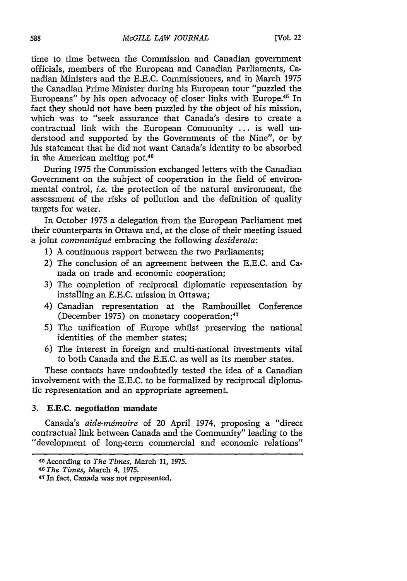time to time between the Commission and Canadian government officials, members of the European and Canadian Parliaments, Canadian Ministers and the E.E.C. Commissioners, and in March 1975 the Canadian Prime Minister during his European tour "puzzled the Europeans" by his open advocacy of closer links with Europe.<sup>45</sup> In fact they should not have been puzzled by the object of his mission, which was to "seek assurance that Canada's desire to create a contractual link with the European Community ... is well understood and supported by the Governments of the Nine", or by his statement that he did not want Canada's identity to be absorbed in the American melting pot.<sup>46</sup>

During 1975 the Commission exchanged letters with the Canadian Government on the subject of cooperation in the field of environmental control, *i.e.* the protection of the natural environment, the assessment of the risks of pollution and the definition of quality targets for water.

In October 1975 a delegation from the European Parliament met their counterparts in Ottawa and, at the close of their meeting issued a joint *communiqug* embracing the following *desiderata:*

- 1) A continuous rapport between the two Parliaments;
- 2) The conclusion of an agreement between the E.E.C. and Canada on trade and economic cooperation;
- 3) The completion of reciprocal diplomatic representation by installing an **E.E.C.** mission in Ottawa;
- 4) Canadian representation at the Rambouillet Conference (December 1975) on monetary cooperation;<sup>47</sup>
- 5) The unification of Europe whilst preserving the national identities of the member states;
- 6) The interest in foreign and multi-national investments vital to both Canada and the E.E.C. as well as its member states.

These contaots have undoubtedly tested the idea of a Canadian involvement with the E.E.C. to be formalized by reciprocal diplomatic representation and an appropriate agreement.

# **3. E.E.C.** negotiation mandate

Canada's *aide-mémoire* of 20 April 1974, proposing a "direct contractual link between Canada and the Community" leading to the "development of long-term commercial and economic relations"

<sup>45</sup>According to *The Times,* March *11,* 1975.

*<sup>46</sup>The Times,* March 4, 1975.

<sup>47</sup> In fact, Canada was not represented.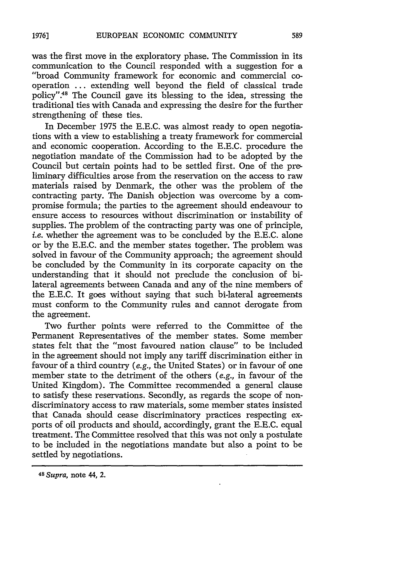was the first move in the exploratory phase. The Commission in its communication to the Council responded with a suggestion for a "broad Community framework for economic and commercial cooperation ... extending well beyond the field of classical trade policy".<sup>48</sup> The Council gave its blessing to the idea, stressing the traditional ties with Canada and expressing the desire for the further strengthening of these ties.

In December 1975 the E.E.C. was almost ready to open negotiations with a view to establishing a treaty framework for commercial and economic cooperation. According to the E.E.C. procedure the negotiation mandate of the Commission had to be adopted by the Council but certain points had to be settled first. One of the preliminary difficulties arose from the reservation on the access to raw materials raised by Denmark, the other was the problem of the contracting party. The Danish objection was overcome by a compromise formula; the parties to the agreement should endeavour to ensure access to resources without discrimination or instability of supplies. The problem of the contracting party was one of principle, i.e. whether the agreement was to be concluded by the E.E.C. alone or by the E.E.C. and the member states together. The problem was solved in favour of the Community approach; the agreement should be concluded by the Community in its corporate capacity on the understanding that it should not preclude the conclusion of bilateral agreements between Canada and any of the nine members of the E.E.C. It goes without saying that such bi-lateral agreements must conform to the Community rules and cannot derogate from the agreement.

Two further points were referred to the Committee of the Permanent Representatives of the member states. Some member states felt that the "most favoured nation clause" to be included in the agreement should not imply any tariff discrimination either in favour of a third country *(e.g.,* the United States) or in favour of one member state to the detriment of the others *(e.g.,* in favour of the United Kingdom). The Committee recommended a general clause to satisfy these reservations. Secondly, as regards the scope of nondiscriminatory access to raw materials, some member states insisted that Canada should cease discriminatory practices respecting exports of oil products and should, accordingly, grant the E.E.C. equal treatment. The Committee resolved that this was not only a postulate to be included in the negotiations mandate but also a point to be settled by negotiations.

*<sup>48</sup>Supra,* note 44, 2.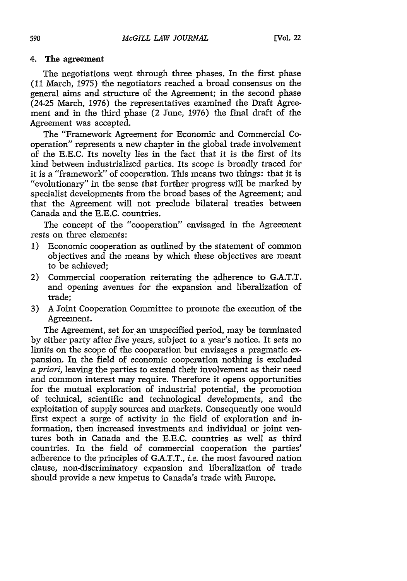#### 4. The agreement

The negotiations went through three phases. In the first phase (11 March, 1975) the negotiators reached a broad consensus on the general aims and structure of the Agreement; in the second phase (24-25 March, 1976) the representatives examined the Draft Agreement and in the third phase (2 June, **1976)** the final draft of the Agreement was accepted.

The "Framework Agreement for Economic and Commercial Cooperation" represents a new chapter in the global trade involvement of the E.E.C. Its novelty lies in the fact that it is the first of its kind between industrialized parties. Its scope is broadly traced for it is a "framework" of cooperation. This means two things: that it is "evolutionary" in the sense that further progress will be marked by specialist developments from the broad bases of the Agreement; and that the Agreement will not preclude bilateral treaties between Canada and the E.E.C. countries.

The concept of the "cooperation" envisaged in the Agreement rests on three elements:

- 1) Economic cooperation as outlined by the statement of common objectives and the means by which these objectives are meant to be achieved;
- 2) Commercial cooperation reiterating the adherence to G.A.T.T. and opening avenues for the expansion and liberalization of trade;
- 3) A Joint Cooperation Committee to promote the execution of the Agreement.

The Agreement, set for an unspecified period, may be terminated by either party after five years, subject to a year's notice. It sets no limits on the scope of the cooperation but envisages a pragmatic expansion. In the field of economic cooperation nothing is excluded *a priori,* leaving the parties to extend their involvement as their need and common interest may require. Therefore it opens opportunities for the mutual exploration of industrial potential, the promotion of technical, scientific and technological developments, and the exploitation of supply sources and markets. Consequently one would first expect a surge of activity in the field of exploration and information, then increased investments and individual or joint ventures both in Canada and the E.E.C. countries as well as third countries. In the field of commercial cooperation the parties' adherence to the principles of G.A.T.T., *i.e.* the most favoured nation clause, non-discriminatory expansion and liberalization of trade should provide a new impetus to Canada's trade with Europe.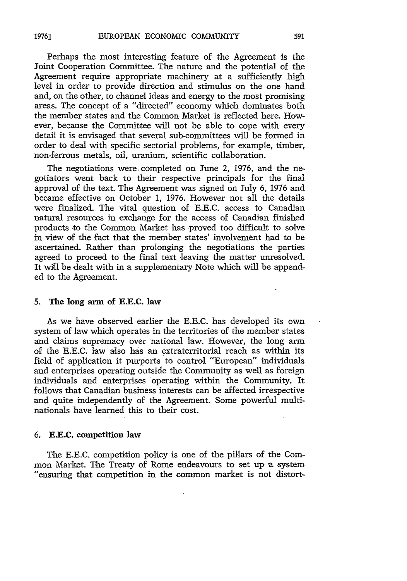Perhaps the most interesting feature of the Agreement is the Joint Cooperation Committee. The nature and the potential of the Agreement require appropriate machinery at a sufficiently high level in order to provide direction and stimulus on the one hand and, on the other, to channel ideas and energy to the most promising areas. The concept of a "directed" economy which dominates both the member states and the Common Market is reflected here. However, because the Committee will not be able to cope with every detail it is envisaged that several sub-committees will be formed in order to deal with specific sectorial problems, for example, timber, non-ferrous metals, oil, uranium, scientific collaboration.

The negotiations were completed on June 2, 1976, and the negotiators went back to their respective principals for the final approval of the text. The Agreement was signed on July 6, 1976 and became effective on October 1, 1976. However not all the details were finalized. The vital question of E.E.C. access to Canadian natural resources in exchange for the access of Canadian finished products to the Common Market has proved too difficult to solve in view of the fact that the member states' involvement had to be ascertained. Rather than prolonging the negotiations the parties agreed to proceed to the final text leaving the matter unresolved. It will be dealt with in a supplementary Note which will be appended to the Agreement.

#### 5. The long arm of **E.E.C.** law

As we have observed earlier the E.E.C. has developed its own system of law which operates in the territories of the member states and claims supremacy over national law. However, the long arm of the E.E.C. law also has an extraterritorial reach as within its field of application it purports to control "European" individuals and enterprises operating outside the Community as well as foreign individuals and enterprises operating within the Community. It follows that Canadian business interests can be affected irrespective and quite independently of the Agreement. Some powerful multinationals have learned this to their cost.

#### **6. E.E.C. competition law**

The E.E.C. competition policy is one of the pillars of the Common Market. The Treaty of Rome endeavours to set up a system "ensuring that competition in the common market is not distort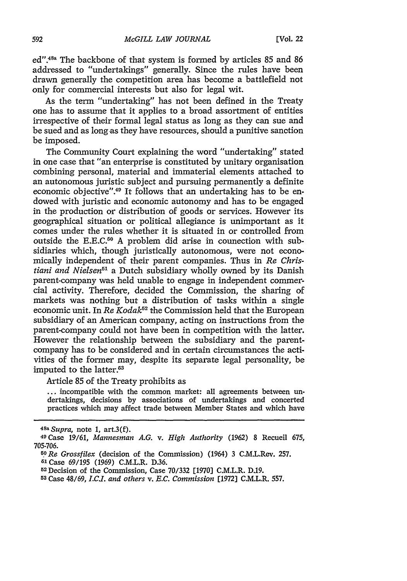ed".<sup>48a</sup> The backbone of that system is formed by articles 85 and 86 addressed to "undertakings" generally. Since the rules have been drawn generally the competition area has become a battlefield not only for commercial interests but also for legal wit.

As the term "undertaking" has not been defined in the Treaty one has to assume that it applies to a broad assortment of entities irrespective of their formal legal status as long as they can sue and be sued and as long as they have resources, should a punitive sanction be imposed.

The Community Court explaining the word "undertaking" stated in one case that "an enterprise is constituted by unitary organisation combining personal, material and immaterial elements attached to an autonomous juristic subject and pursuing permanently a definite economic objective".<sup>49</sup> It follows that an undertaking has to be endowed with juristic and economic autonomy and has to be engaged in the production or distribution of goods or services. However its geographical situation or political allegiance is unimportant as it comes under the rules whether it is situated in or controlled from outside the E.E.C.<sup>50</sup> A problem did arise in counection with subsidiaries which, though juristically autonomous, were not economically independent of their parent companies. Thus in *Re Chris*tiani and Nielsen<sup>51</sup> a Dutch subsidiary wholly owned by its Danish parent-company was held unable to engage in independent commercial activity. Therefore, decided the Commission, the sharing of markets was nothing but a distribution of tasks within a single economic unit. In *Re Kodak52* the Commission held that the European subsidiary of an American company, acting on instructions from the parent-company could not have been in competition with the latter. However the relationship between the subsidiary and the parentcompany has to be considered and in certain circumstances the activities of the former may, despite its separate legal personality, be imputed to the latter.<sup>53</sup>

Article 85 of the Treaty prohibits as

**...** incompatible with the common market: all agreements between undertakings, decisions by associations of undertakings and concerted practices which may affect trade between Member States and which have

<sup>48</sup>a *Supra,* note 1, art.3(f).

**<sup>49</sup>**Case 19/61, *Mannesman A.G. v. High Authority* (1962) 8 Recueil 675, 705-706. *6ORe Grossfilex* (decision of the Commission) (1964) 3 C.M.L.Rev. 257.

**<sup>51</sup>**Case 69/195 (1969) C.M.L.R. D.36.

<sup>52</sup> Decision of the Commission, Case 70/332 [1970] C.M.L.R. D.19.

**<sup>53</sup>** Case 48/69, **LC.L** *and others v. E.C. Commission* **(1972]** C.M.L.R. 557.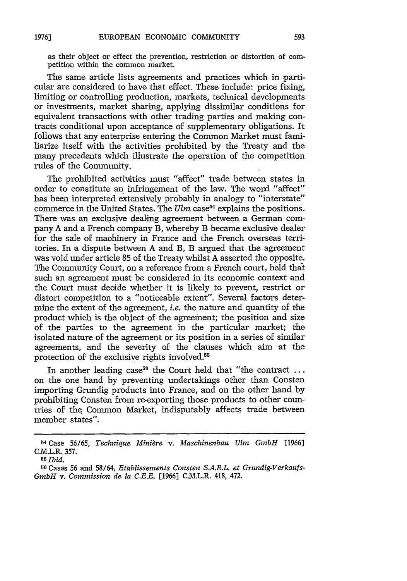as their object or effect the prevention, restriction or distortion of competition within the common market.

The same article lists agreements and practices which in particular are considered to have that effect. These include: price fixing, limiting or controlling production, markets, technical developments or investments, market sharing, applying dissimilar conditions for equivalent transactions with other trading parties and making contracts conditional upon acceptance of supplementary obligations. It follows that any enterprise entering the Common Market must familiarize itself with the activities prohibited by the Treaty and the many precedents which illustrate the operation of the competition rules of the Community.

The prohibited activities must "affect" trade between states in order to constitute an infringement of the law. The word "affect" has been interpreted extensively probably in analogy to "interstate" commerce in the United States. The *Ulm* case<sup>54</sup> explains the positions. There was an exclusive dealing agreement between a German company A and a French company B, whereby B became exclusive dealer for the sale of machinery in France and the French overseas territories. In a dispute between A and B, B argued that the agreement was void under article 85 of the Treaty whilst A asserted the opposite. The Community Court, on a reference from a French court, held that such an agreement must be considered in its economic context and the Court must decide whether it is likely to prevent, restrict or distort competition to a "noticeable extent". Several factors determine the extent of the agreement, *i.e.* the nature and quantity of the product which is the object of the agreement; the position and size of the parties to the agreement in the particular market; the isolated nature of the agreement or its position in a series of similar agreements, and the severity of the clauses which aim at the protection of the exclusive rights involved.<sup>55</sup>

In another leading case<sup>56</sup> the Court held that "the contract ... on the one hand by preventing undertakings other than Consten importing Grundig products into France, and on the other hand by prohibiting Consten from re-exporting those products to other countries of the, Common Market, indisputably affects trade between member states".

ACase 56/65, *Technique Miniare v. Maschinenbau Ulm GmbH* [1966] C.M.L.R. 357.

<sup>65</sup>*Ibid.* <sup>5</sup>

<sup>&</sup>lt;sup>56</sup> Cases 56 and 58/64, *Etablissements Consten S.A.R.L. et Grundig-Verkaufs-GmbH v. Commission de la C.E.E.* [1966] C.M.L.R. 418, 472.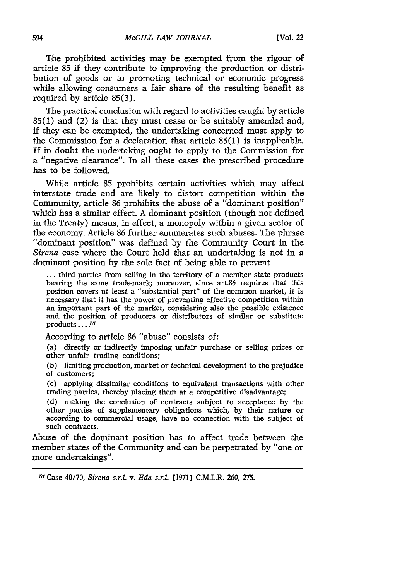The prohibited activities may be exempted from the rigour of article 85 if they contribute to improving the production or distribution of goods or to promoting technical or economic progress while allowing consumers a fair share of the resulting benefit as required by artiole 85(3).

The practical conclusion with regard to activities caught by article 85(1) and (2) is that they must cease or be suitably amended and, if they can be exempted, the undertaking concerned must apply to the Commission for a declaration that article 85(1) is inapplicable. If in doubt the undertaking ought to apply to the Commission for a "negative clearance". In all these cases the prescribed procedure has to be followed.

While article 85 prohibits certain activities which may affect interstate trade and are likely to distort competition within the Community, article 86 prohibits the abuse of a "dominant position" which has a similar effect. A dominant position (though not defined in the Treaty) means, in effect, a monopoly within a given sector of the economy. Article 86 further enumerates such abuses. The phrase "dominant position" was defined by the Community Court in the *Sirena* case where the Court held that an undertaking is not in a dominant position by the sole fact of being able to prevent

**...** third parties from selling in the territory of a member state products bearing the same trade-mark; moreover, since art.86 requires that this position covers at least a "substantial part" of the common market, it is necessary that it has the power of preventing effective competition within an important part of the market, considering also the possible existence and the position of producers or distributors of similar or substitute products . . . . 57

According to article 86 "abuse" consists of:

(a) directly or indirectly imposing unfair purchase or selling prices or other unfair trading conditions;

(b) limiting production, market or technical development to the prejudice of customers;

**(c)** applying dissimilar conditions to equivalent transactions with other trading parties, thereby placing them at a competitive disadvantage;

(d) making the conclusion of contracts subject to acceptance by the other parties of supplementary obligations which, by their nature or according to commercial usage, have no connection with the subject of such contracts.

Abuse of the dominant position has to affect trade between the member states of the Community and can be perpetrated by "one or more undertakings".

67 Case 40/70, *Sirena s.r.. v. Eda s.r..* [1971] C.M.L.R. 260, 275.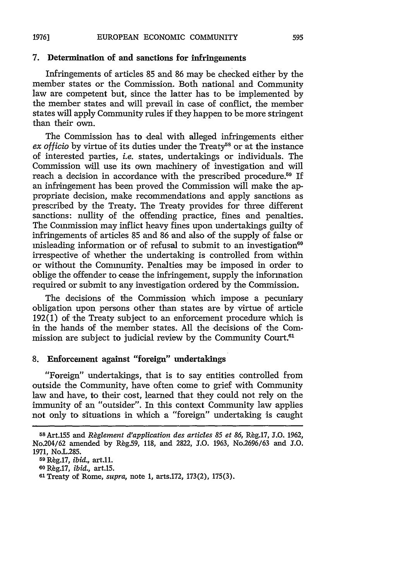# **7.** Determination of **and** sanctions for infringements

Infringements of articles **85** and **86** may be checked either **by** the member states or the Commission. Both national and Community law are competent but, since the latter has to be implemented **by** the member states and will prevail in case of conflict, the member states will apply Community rules if they happen to be more stringent than their own.

The Commission has to deal with alleged infringements either *ex officio* by virtue of its duties under the Treaty<sup>58</sup> or at the instance of interested parties, *i.e.* states, undertakings or individuals. The Commission will use its own machinery of investigation and will reach a decision in accordance with the prescribed procedure.<sup>59</sup> If an infringement has been proved the Commission will make the appropriate decision, make recommendations and apply sanctions as prescribed **by** the Treaty. The Treaty provides for three different sanctions: nullity of the offending practice, fines and penalties. The Commission may inflict heavy fines upon undertakings guilty of infringements of articles **85** and **86** and also of the supply of false or misleading information or of refusal to submit to an investigation<sup>60</sup> irrespective of whether the undertaking is controlled from within or without the Community. Penalties may be imposed in order to oblige the offender to cease the infringement, supply the information required or submit to any investigation ordered **by** the Commission.

The decisions of the Commission which impose a pecuniary obligation upon persons other than states are **by** virtue of article **192(1)** of the Treaty subject to an enforcement procedure which is in the hands of the member states. **All** the decisions of the Commission are subject to judicial review by the Community Court.<sup>61</sup>

# **8.** Enforcement against "foreign" undertakings

"Foreign" undertakings, that is to say entities controlled from outside the Community, have often come to grief with Community law and have, to their cost, learned that they could not rely on the immunity of an "outsider". In this context Community law applies not only to situations in whioh a "foreign" undertaking is caught

**59 Rg.17,** *ibid.,* **art. n1. 60R~g.17,** *ibid.,* **art.15.**

<sup>5</sup> <sup>8</sup> Art.155 and *Raglement d'application des articles 85 et 86,* **R~g.17, J.O. 1962,** No204/62 amended **by** Rig.59, **118,** and **2822, J.O. 1963,** No.2696/63 and **1.O. 1971,** No.L.285.

**<sup>1</sup>Treaty of Rome,** *supra,* **note 1, arts.172, 173(2), 175(3).**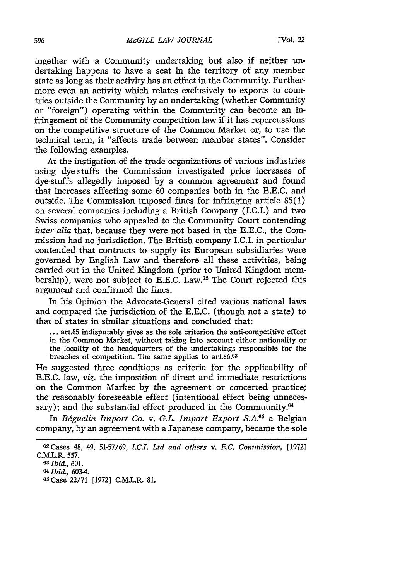together with a Community undertaking but also if neither undertaking happens to have a seat in the territory of any member state as long as their activity has an effect in the Community. Furthermore even an activity which relates exclusively to exports to countries outside the Community by an undertaking (whether Community or "foreign") operating within the Community can become an infringement of the Community competition law if it has repercussions on the competitive structure of the Common Market or, to use the technical term, it "affects trade between member states". Consider the following examples.

At the instigation of the trade organizations of various industries using dye-stuffs the Commission investigated price increases of dye-stuffs allegedly imposed by a common agreement and found that increases affecting some 60 companies both in the E.E.C. and outside. The Commission imposed fines for infringing article 85(1) on several companies including a British Company (I.C.I.) and two Swiss companies who appealed to the Community Court contending *inter alia* that, because they were not based in the E.E.C., the Commission had no jurisdiction. The British company I.C.I. in particular contended that contracts to supply its European subsidiaries were governed by English Law and therefore all these activities, being carried out in the United Kingdom (prior to United Kingdom membership), were not subject to E.E.C. Law.62 The Court rejected this argument and confirmed the fines.

In his Opinion the Advocate-General cited various national laws and compared the jurisdiction of the E.E.C. (though not a state) to that of states in similar situations and concluded that:

... art.85 indisputably gives as the sole criterion the anti-competitive effect in the Common Market, without taking into account either nationality or the locality of the headquarters of the undertakings responsible for the breaches of competition. The same applies to art.86.63

He suggested three conditions as criteria for the applicability of E.E.C. law, *viz.* the imposition of direct and immediate restrictions on the Common Market by the agreement or concerted practice; the reasonably foreseeable effect (intentional effect being unnecessary); and the substantial effect produced in the Commuunity.<sup>64</sup>

In *Béguelin Import Co. v. G.L. Import Export S.A.<sup>65</sup>* a Belgian company, by an agreement with a Japanese company, became the sole

**<sup>62</sup>**Cases 48, 49, 51-57/69, *I.C.L Ltd and others v. E.C. Commission,* **[1972]** C.M.L.R. **557.**

*<sup>03</sup>Ibid.,* 601.

*fl Ibid.,* 603-4.

**<sup>65</sup>** Case 22/71 **[1972]** C.M.L.R. **81.**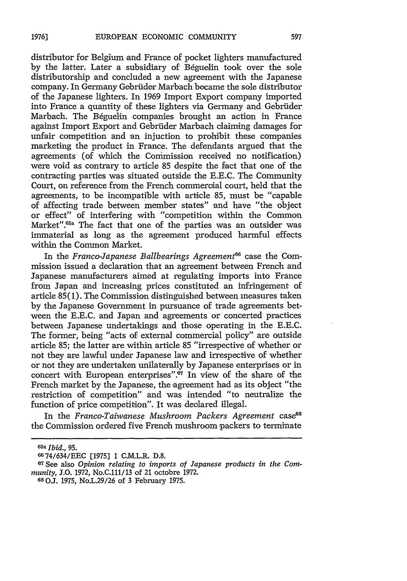distributor for Belgium and France of pocket lighters manufactured by the latter. Later a subsidiary of Béguelin took over the sole distributorship and concluded a new agreement with the Japanese company. In Germany Gebriider Marbach became the sole distributor of the Japanese lighters. In 1969 Import Export company imported into France a quantity of these lighters via Germany and Gebriider Marbach. The B6guelin companies brought an action in France against Import Export and Gebrider Marbach claiming damages for unfair competition and an injuction to prohibit these companies marketing the product in France. The defendants argued that the agreements (of which the Commission received no notification) were void as contrary to article 85 despite the fact that one of the contracting parties was situated outside the E.E.C. The Community Court, on reference from the French commercial court, held that the agreements, to be incompatible with article 85, must be "capable of affecting trade between member states" and have "the object or effect" of interfering with "competition within the Common Market".<sup>65a</sup> The fact that one of the parties was an outsider was immaterial as long as the agreement produced harmful effects within the Common Market.

In the *Franco-Japanese Ballbearings Agreement66* case the Commission issued a declaration that an agreement between French and Japanese manufacturers aimed at regulating imports into France from Japan and increasing prices constituted an infringement of article 85(1). The Commission distinguished between measures taken by the Japanese Government in pursuance of trade agreements between the E.E.C. and Japan and agreements or concerted practices between Japanese undertakings and those operating in the E.E.C. The former, being "acts of external commercial policy" are outside article 85; the latter are within article 85 "irrespective of whether or not they are lawful under Japanese law and irrespective of whether or not they are undertaken unilaterally by Japanese enterprises or in concert with European enterprises".<sup>67</sup> In view of the share of the French market by the Japanese, the agreement had as its object "the restriction of competition" and was intended "to neutralize the function of price competition". It was declared illegal.

In the *Franco-Taiwanese Mushroom Packers Agreement* case<sup>68</sup> the Commission ordered five French mushroom packers to terminate

**<sup>65</sup>a** *Ibid., 95.*

<sup>6674/634/</sup>EEC [1975] 1 C.M.L.R. D.8.

**<sup>67</sup>** See also *Opinion relating to imports of Japanese products in the Community,* J.O. 1972, No.C.111/13 of 21 octobre 1972.

**<sup>68</sup> OJ. 1975,** No.L.29/26 of **3** February 1975.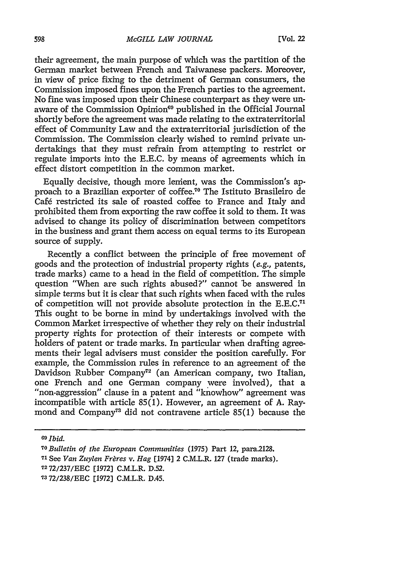their agreement, the main purpose of which was the partition of the German market between French and Taiwanese packers. Moreover, in view of price fixing to the detriment of German consumers, the Commission imposed fines upon the French parties to the agreement. No fine was imposed upon their Chinese counterpart as they were unaware of the Commission Opimon<sup>69</sup> published in the Official Journal shortly before the agreement was made relating to the extraterritorial effect of Community Law and the extraterritorial jurisdiction of the Commission. The Commission clearly wished to remind private undertakings that they must refrain from attempting to restrict or regulate imports into the E.E.C. by means of agreements which in effect distort competition in the common market.

Equally decisive, though more lenient, was the Commission's approach to a Brazilian exporter of coffee.<sup>70</sup> The Istituto Brasileiro de Café restricted its sale of roasted coffee to France and Italy and prohibited them from exporting the raw coffee it sold to them. It was advised to change its policy of discrimination between competitors in the business and grant them access on equal terms to its European source of supply.

Recently a conflict between the principle of free movement of goods and the protection of industrial property rights (e.g., patents, trade marks) came to a head in the field of competition. The simple question "When are such rights abused?" cannot be answered in simple terms but it is clear that such rights when faced with the rules of competition will not provide absolute protection in the E.E.C.<sup>71</sup> This ought to be borne in mind by undertakings involved with the Common Market irrespective of whether they rely on their industrial property rights for protection of their interests or compete with holders of patent or trade marks. In particular when drafting agreements their legal advisers must consider the position carefully. For example, the Commission rules in reference to an agreement of the Davidson Rubber Company72 (an American company, two Italian, one French and one German company were involved), that a "non-aggression" clause in a patent and "knowhow" agreement was incompatible with article 85(1). However, an agreement of A. Raymond and Company<sup>73</sup> did not contravene article 85(1) because the

*6Ibid.*

*<sup>70</sup> oBulletin of the European Communities* (1975) Part 12, para2128.

**<sup>71</sup>**See *Van Zuylen Frares v. Hag* [1974] 2 C.M.L.R. 127 (trade marks).

<sup>7</sup> 272/237/EEC [1972] C.M.L.R. D.52.

<sup>7372/238/</sup>EEC [1972] C.M.L.R. D.45.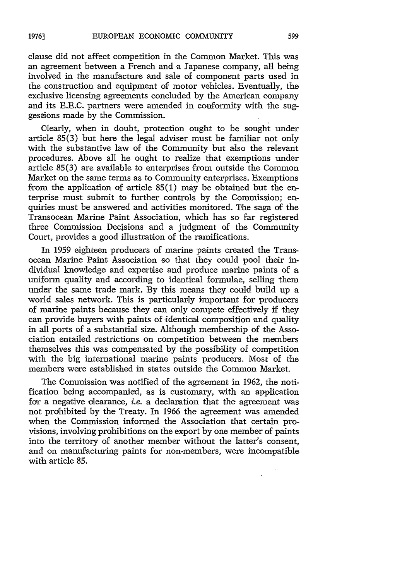clause did not affect competition in the Common Market. This was an agreement between a French and a Japanese company, all being involved in the manufacture and sale of component parts used in the construction and equipment of motor vehicles. Eventually, the exclusive licensing agreements concluded by the American company and its E.E.C. partners were amended in conformity with the suggestions made by the Commission.

Clearly, when in doubt, protection ought to be sought under article 85(3) but here the legal adviser must be familiar not only with the substantive law of the Community but also the relevant procedures. Above all he ought to realize that exemptions under article 85(3) are available to enterprises from outside the Common Market on the same terms as to Community enterprises. Exemptions from the application of article 85(1) may be obtained but the enterprise must submit to further controls by the Commission; enquiries must be answered and activities monitored. The saga of the Transocean Marine Paint Association, which has so far registered three Commission Decisions and a judgment of the Community Court, provides a good illustration of the ramifications.

In 1959 eighteen producers of marine paints created the Transocean Marine Paint Association so that they could pool their individual knowledge and expertise and produce marine paints of a uniform quality and according to identical formulae, selling them under the same trade mark. By this means they could build up a world sales network. This is particularly important for producers of marine paints because they can only compete effectively if they can provide buyers with paints of identical composition and quality in all ports of a substantial size. Although membership of the Association entailed restrictions on competition between the members themselves this was compensated by the possibility of competition with the big international marine paints producers. Most of the members were established in states outside the Common Market.

The Commission was notified of the agreement in 1962, the notification being accompanied, as is customary, with an application for a negative clearance, *i.e.* a declaration that the agreement was not prohibited by the Treaty. In 1966 the agreement was amended when the Commission informed the Association that certain provisions, involving prohibitions on the export by one member of paints into the territory of another member without the latter's consent, and on manufacturing paints for non-members, were incompatible with article **85.**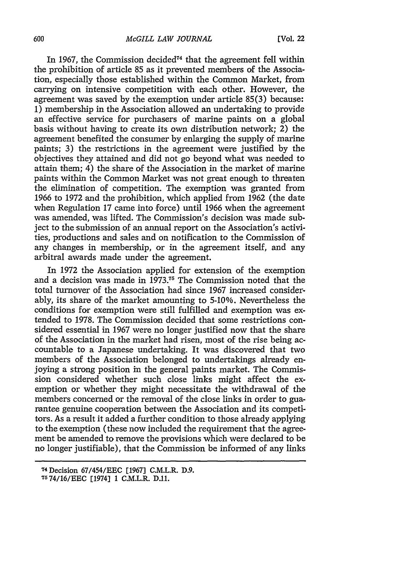#### *McGILL LAW JOURNAL*

In 1967, the Commission decided<sup> $74$ </sup> that the agreement fell within the prohibition of article 85 as it prevented members of the Association, especially those established within the Common Market, from carrying on intensive competition with each other. However, the agreement was saved by the exemption under article 85(3) because: 1) membership in the Association allowed an undertaking to provide an effective service for purchasers of marine paints on a global basis without having to create its own distribution network; 2) the agreement benefited the consumer by enlarging the supply of marine paints; 3) the restrictions in the agreement were justified by the objectives they attained and did not go beyond what was needed to attain them; 4) the share of the Association in the market of marine paints within the Common Market was not great enough to threaten the elimination of competition. The exemption was granted from 1966 to 1972 and the prohibition, which applied from 1962 (the date when Regulation 17 came into force) until 1966 when the agreement was amended, was lifted. The Commission's decision was made subject to the submission of an annual report on the Association's activities, productions and sales and on notification to the Commission of any changes in membership, or in the agreement itself, and any arbitral awards made under the agreement.

In 1972 the Association applied for extension of the exemption and a decision was made in 1973.<sup>75</sup> The Commission noted that the total turnover of the Association had since 1967 increased considerably, its share of the market amounting to 5-10%. Nevertheless the conditions for exemption were still fulfilled and exemption was extended to 1978. The Commission decided that some restrictions considered essential in 1967 were no longer justified now that the share of the Association in the market had risen, most of the rise being accountable to a Japanese undertaking. It was discovered that two members of the Association belonged to undertakings already enjoying a strong position in the general paints market. The Commission considered whether such close links might affect the exemption or whether they might necessitate the withdrawal of the members concerned or the removal of the close links in order to guarantee genuine cooperation between the Association and its competitors. As a result it added a further condition to those already applying to the exemption (these now included the requirement that the agreement be amended to remove the provisions which were declared to be no longer justifiable), that the Commission be informed of any links

<sup>74</sup>Decision 67/454/EEC [1967] C.M.L.R. **D.9.** 7574/16/EEC [1974) 1 C.M.L.R. **D.11.**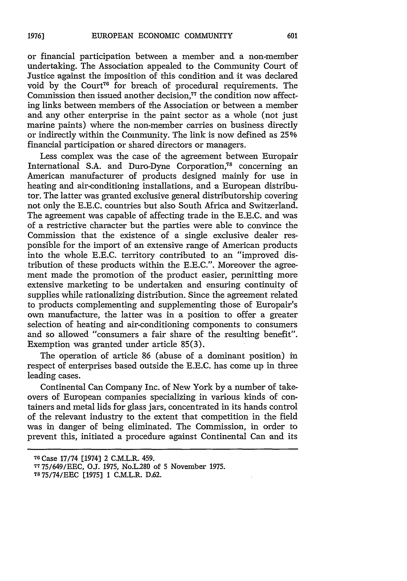**19761**

# or financial participation between a member and a non-member undertaking. The Association appealed to the Community Court of Justice against the imposition of this condition and it was declared void by the Court<sup>76</sup> for breach of procedural requirements. The Commission then issued another decision,<sup>77</sup> the condition now affecting links between members of the Association or between a member and any other enterprise in the paint sector as a whole (not just marine paints) where the non-member carries on business directly or indirectly within the Community. The link is now defined as 25% financial participation or shared directors or managers.

Less complex was the case of the agreement between Europair International S.A. and Duro-Dyne Corporation,<sup>78</sup> concerning an American manufacturer of products designed mainly for use in heating and air-conditioning installations, and a European distributor. The latter was granted exclusive general distributorship covering not only the E.E.C. countries but also South Africa and Switzerland. The agreement was capable of affecting trade in the E.E.C. and was of a restrictive character but the parties were able to convince the Commission that the existence of a single exclusive dealer responsible for the import of an extensive range of American products into the whole E.E.C. territory contributed to an "improved distribution of these products within the E.E.C.". Moreover the agreement made the promotion of the product easier, permitting more extensive marketing to be undertaken and ensuring continuity of supplies while rationalizing distribution. Since the agreement related to products complementing and supplementing those of Europair's own manufacture, the latter was in a position to offer a greater selection of heating and air-conditioning components to consumers and so allowed "consumers a fair share of the resulting benefit". Exemption was granted under article 85(3).

The operation of article 86 (abuse of a dominant position) in respect of enterprises based outside the E.E.C. has come up in three leading cases.

Continental Can Company Inc. of New York by a number of takeovers of European companies specializing in various kinds of containers and metal lids for glass jars, concentrated in its hands control of the relevant industry to the extent that competition in the field was in danger of being eliminated. The Commission, in order to prevent this, initiated a procedure against Continental Can and its

**<sup>70</sup>** Case 17/74 [1974] 2 C.M.L.R. 459.

*<sup>7775/649/</sup>EEC, O.1.* **1975,** No.L.280 of **5** November **1975.**

<sup>7875/74/</sup>EEC [1975] 1 C.M.L.R. D.62.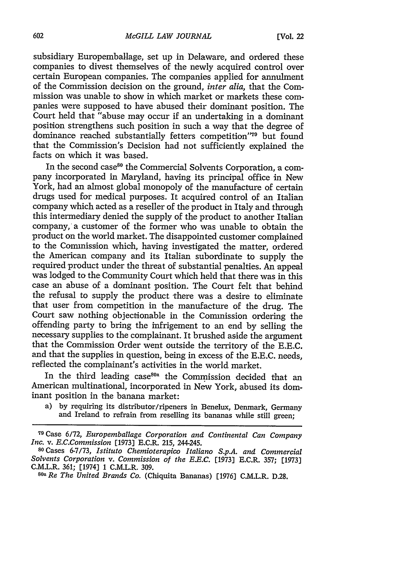subsidiary Europembalage, set up in Delaware, and ordered these companies to divest themselves of the newly acquired control over certain European companies. The companies applied for annulment of the Commission decision on the ground, *inter alia,* that the Commission was unable to show in which market or markets these companies were supposed to have abused their dominant position. The Court held that "abuse may occur if an undertaking in a dominant position strengthens such position in such a way that the degree of dominance reached substantially fetters competition"<sup>70</sup> but found that the Commission's Decision had not sufficiently explained the facts on which it was based.

In the second case<sup>80</sup> the Commercial Solvents Corporation, a company incorporated in Maryland, having its principal office in New York, had an almost global monopoly of the manufacture of certain drugs used for medical purposes. It acquired control of an Italian company which acted as a reseller of the product in Italy and through this intermediary denied the supply of the product to another Italian company, a customer of the former who was unable to obtain the product on the world market. The disappointed customer complained to the Commission which, having investigated the matter, ordered the American company and its Italian subordinate to supply the required product under the threat of substantial penalties. An appeal was lodged to the Community Court which held that there was in this case an abuse of a dominant position. The Court felt that behind the refusal to supply the product there was a desire to eliminate that user from competition in the manufacture of the drug. The Court saw nothing objectionable in the Commission ordering the offending party to bring the infrigement to an end by selling the necessary supplies to the complainant. It brushed aside the argument that the Commission Order went outside the territory of the **E.E.C.** and that the supplies in question, being in excess of the E.E.C. needs, reflected the complainant's activities in the world market.

In the third leading case<sup>80a</sup> the Commission decided that an American multinational, incorporated in New York, abused its dominant position in the banana market:

a) by requiring its distributor/ripeners in Benelux, Denmark, Germany and Ireland to refrain from reselling its bananas while still green;

*80a Re The United Brands Co.* (Chiquita Bananas) [1976] C.M.L.R. D.28.

**<sup>79</sup>** Case 6/72, *Europemballage Corporation and Continental Can Company Inc. v. E.C.Commission* [1973] E.C.R. 215, 244-245.

**<sup>80</sup>**Cases 6-7/73, *Istituto Chemioterapico Italiano S.p.A. and Commercial Solvents Corporation v. Commission of the E.E.C.* [1973] E.C.R. 357; [1973] C.M.L.R. 361; [1974] 1 C.M.L.R. 309.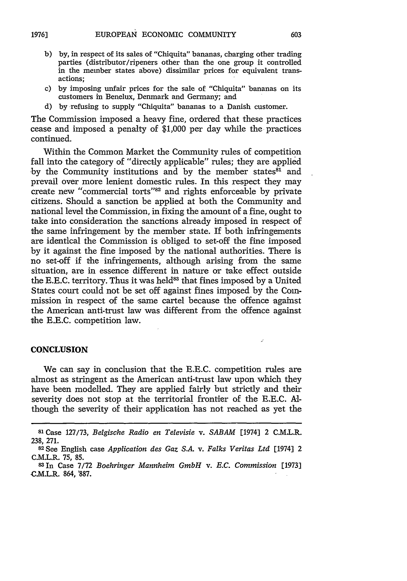603

- b) by, in respect of its sales of "Chiquita" bananas, charging other trading parties (distributor/ripeners other than the one group it controlled in the member states above) dissimilar prices for equivalent transactions;
- c) by imposing unfair prices for the sale of "Chiquita" bananas on its customers in Benelux, Denmark and Germany; and
- d) by refusing to supply "Chiquita" bananas to a Danish customer.

The Commission imposed a heavy fine, ordered that these practices cease and imposed a penalty of \$1,000 per day while the practices continued.

Within the Common Market the Community rules of competition fall into the category of "directly applicable" rules; they are applied by the Community institutions and by the member states<sup>81</sup> and prevail over more lenient domestic rules. In this respect they may create new "commercial torts"82 and rights enforceable by private citizens. Should a sanction be applied at both the Community and national level the Commission, in fixing the amount of a fine, ought to take into consideration the sanctions already imposed in respect of the same infringement by the member state. If both infringements are identical the Commission is obliged to set-off the fine imposed by it against the fine imposed by the national authorities. There is no set-off if the infringements, although arising from the same situation, are in essence different in nature or take effect outside the E.E.C. territory. Thus it was held<sup>83</sup> that fines imposed by a United States court could not be set off against fines imposed by the Commission in respect of the same cartel because the offence against the American anti-trust law was different from the offence against the E.E.C. competition law.

#### **CONCLUSION**

We can say in conclusion that the E.E.C. competition rules are almost as stringent as the American anti-trust law upon which they have been modelled. They are applied fairly but strictly and their severity does not stop at the territorial frontier of the E.E.C. Although the severity of their application has not reached as yet the

**<sup>81</sup>**Case **127/73,** *Belgische Radio en Televisie v. SABAM* [1974] 2 C.M.L.R. **238, 271.** <sup>82</sup> See English case *Application des Gaz S.A. v. Falks Veritas Ltd* [1974] 2

C.M.L.R. 75, 85.

**<sup>83</sup>**In Case 7/72 *Boehringer Mannheim GmbH v. E.C. Commission* [1973] **C.M.L.R.** 864, **'887.**